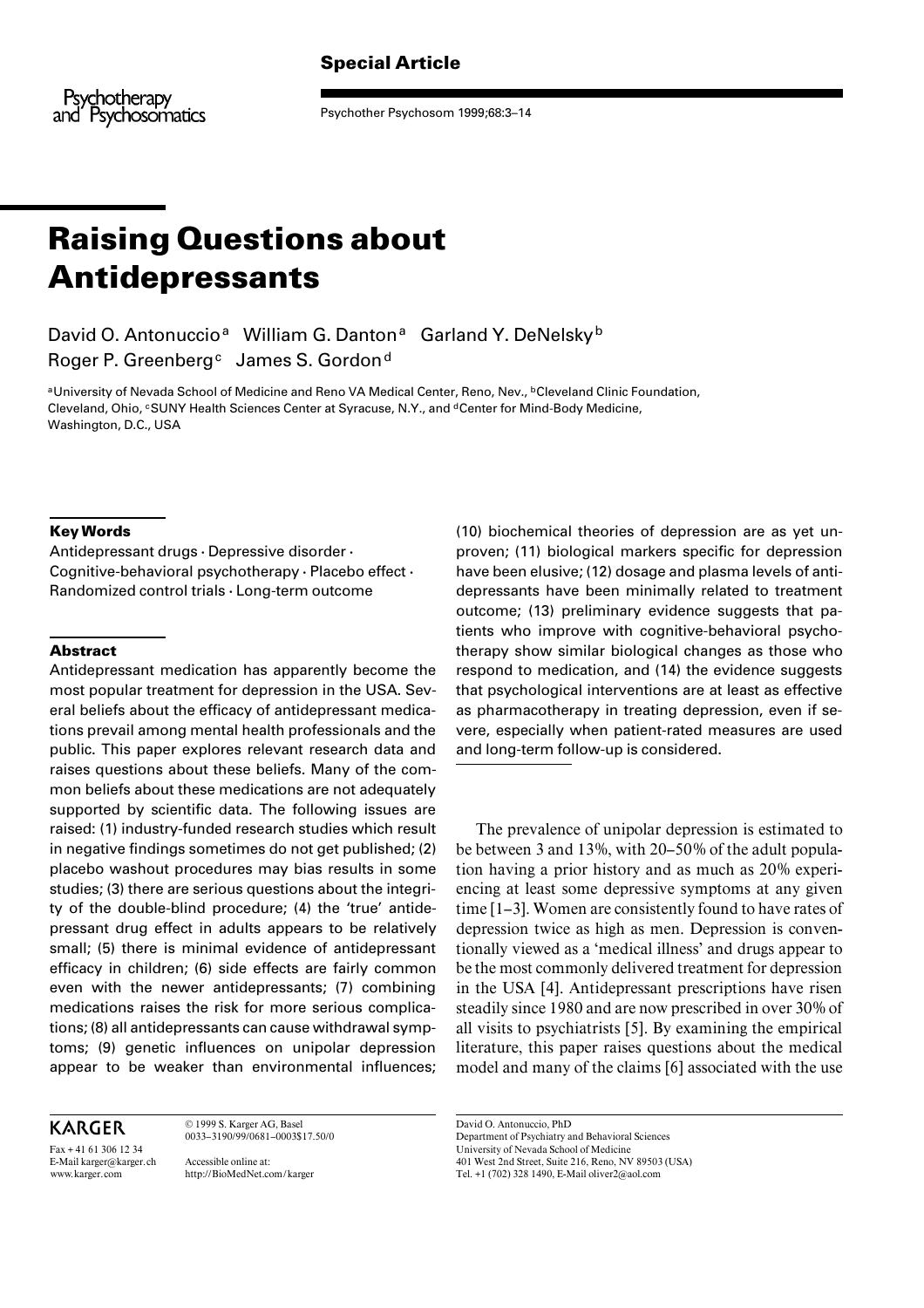Psychotherapy and Psychosomatics

Psychother Psychosom 1999;68:3–14

# **Raising Questions about Antidepressants**

David O. Antonuccio<sup>a</sup> William G. Danton<sup>a</sup> Garland Y. DeNelsky<sup>b</sup> Roger P. Greenberg<sup>c</sup> James S. Gordon<sup>d</sup>

aUniversity of Nevada School of Medicine and Reno VA Medical Center, Reno, Nev., <sup>b</sup>Cleveland Clinic Foundation, Cleveland, Ohio, <sup>c</sup>SUNY Health Sciences Center at Syracuse, N.Y., and <sup>d</sup>Center for Mind-Body Medicine, Washington, D.C., USA

#### **Key Words**

Antidepressant drugs  $\cdot$  Depressive disorder  $\cdot$ Cognitive-behavioral psychotherapy  $\cdot$  Placebo effect  $\cdot$ Randomized control trials  $\cdot$  Long-term outcome

#### **Abstract**

Antidepressant medication has apparently become the most popular treatment for depression in the USA. Several beliefs about the efficacy of antidepressant medications prevail among mental health professionals and the public. This paper explores relevant research data and raises questions about these beliefs. Many of the common beliefs about these medications are not adequately supported by scientific data. The following issues are raised: (1) industry-funded research studies which result in negative findings sometimes do not get published; (2) placebo washout procedures may bias results in some studies; (3) there are serious questions about the integrity of the double-blind procedure; (4) the 'true' antidepressant drug effect in adults appears to be relatively small; (5) there is minimal evidence of antidepressant efficacy in children; (6) side effects are fairly common even with the newer antidepressants; (7) combining medications raises the risk for more serious complications; (8) all antidepressants can cause withdrawal symptoms; (9) genetic influences on unipolar depression appear to be weaker than environmental influences;

**KARGER** Fax + 41 61 306 12 34

E-Mail karger@karger.ch www.karger.com

© 1999 S. Karger AG, Basel 0033–3190/99/0681–0003\$17.50/0

Accessible online at: http://BioMedNet.com/karger (10) biochemical theories of depression are as yet unproven; (11) biological markers specific for depression have been elusive; (12) dosage and plasma levels of antidepressants have been minimally related to treatment outcome; (13) preliminary evidence suggests that patients who improve with cognitive-behavioral psychotherapy show similar biological changes as those who respond to medication, and (14) the evidence suggests that psychological interventions are at least as effective as pharmacotherapy in treating depression, even if severe, especially when patient-rated measures are used and long-term follow-up is considered.

The prevalence of unipolar depression is estimated to be between 3 and 13%, with 20–50% of the adult population having a prior history and as much as 20% experiencing at least some depressive symptoms at any given time [1–3]. Women are consistently found to have rates of depression twice as high as men. Depression is conventionally viewed as a 'medical illness' and drugs appear to be the most commonly delivered treatment for depression in the USA [4]. Antidepressant prescriptions have risen steadily since 1980 and are now prescribed in over 30% of all visits to psychiatrists [5]. By examining the empirical literature, this paper raises questions about the medical model and many of the claims [6] associated with the use

David O. Antonuccio, PhD Department of Psychiatry and Behavioral Sciences University of Nevada School of Medicine 401 West 2nd Street, Suite 216, Reno, NV 89503 (USA) Tel. +1 (702) 328 1490, E-Mail oliver2@aol.com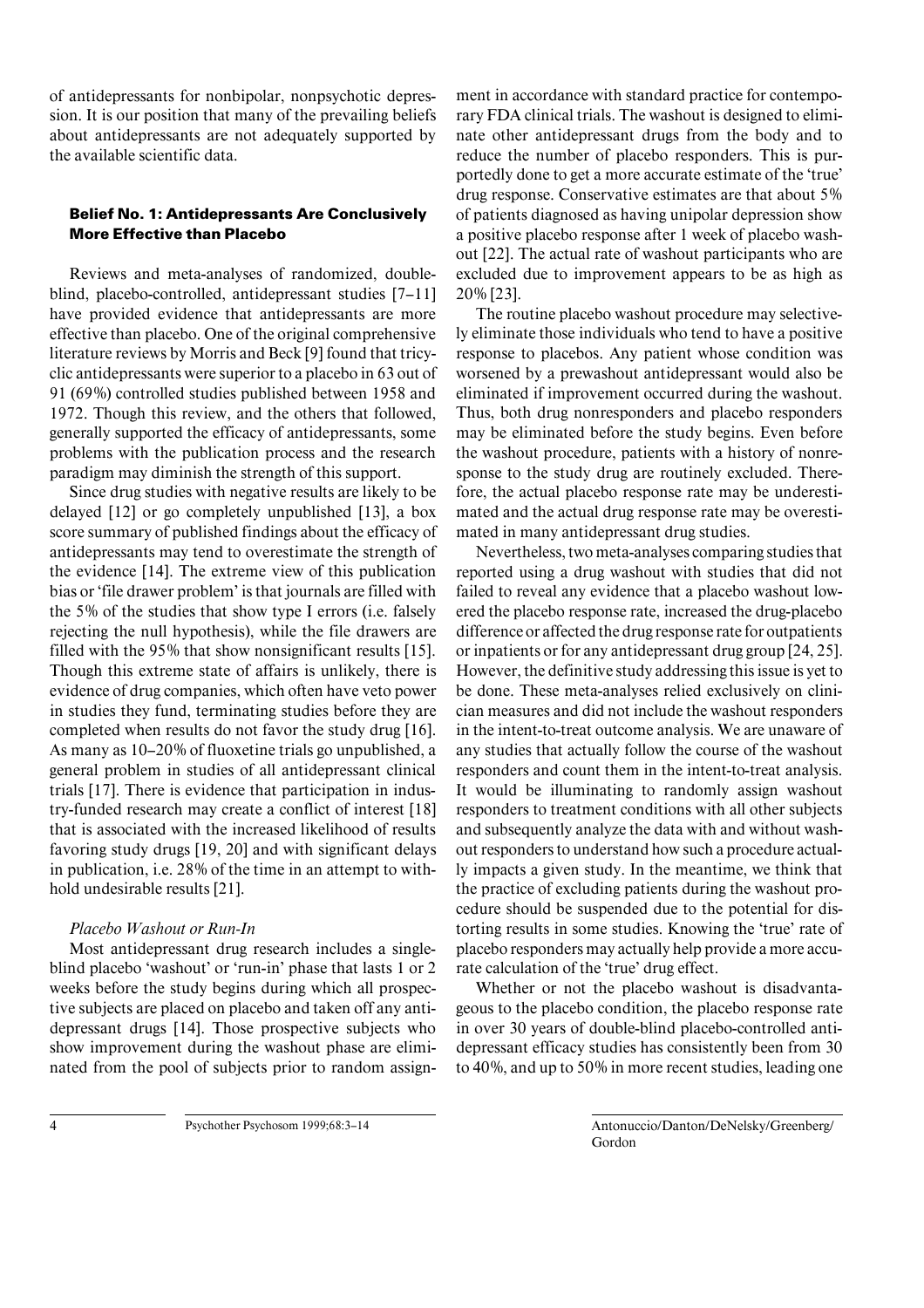of antidepressants for nonbipolar, nonpsychotic depression. It is our position that many of the prevailing beliefs about antidepressants are not adequately supported by the available scientific data.

## **Belief No. 1: Antidepressants Are Conclusively More Effective than Placebo**

Reviews and meta-analyses of randomized, doubleblind, placebo-controlled, antidepressant studies [7–11] have provided evidence that antidepressants are more effective than placebo. One of the original comprehensive literature reviews by Morris and Beck [9] found that tricyclic antidepressants were superior to a placebo in 63 out of 91 (69%) controlled studies published between 1958 and 1972. Though this review, and the others that followed, generally supported the efficacy of antidepressants, some problems with the publication process and the research paradigm may diminish the strength of this support.

Since drug studies with negative results are likely to be delayed [12] or go completely unpublished [13], a box score summary of published findings about the efficacy of antidepressants may tend to overestimate the strength of the evidence [14]. The extreme view of this publication bias or 'file drawer problem' is that journals are filled with the 5% of the studies that show type I errors (i.e. falsely rejecting the null hypothesis), while the file drawers are filled with the 95% that show nonsignificant results [15]. Though this extreme state of affairs is unlikely, there is evidence of drug companies, which often have veto power in studies they fund, terminating studies before they are completed when results do not favor the study drug [16]. As many as 10–20% of fluoxetine trials go unpublished, a general problem in studies of all antidepressant clinical trials [17]. There is evidence that participation in industry-funded research may create a conflict of interest [18] that is associated with the increased likelihood of results favoring study drugs [19, 20] and with significant delays in publication, i.e. 28% of the time in an attempt to withhold undesirable results [21].

## *Placebo Washout or Run-In*

Most antidepressant drug research includes a singleblind placebo 'washout' or 'run-in' phase that lasts 1 or 2 weeks before the study begins during which all prospective subjects are placed on placebo and taken off any antidepressant drugs [14]. Those prospective subjects who show improvement during the washout phase are eliminated from the pool of subjects prior to random assignment in accordance with standard practice for contemporary FDA clinical trials. The washout is designed to eliminate other antidepressant drugs from the body and to reduce the number of placebo responders. This is purportedly done to get a more accurate estimate of the 'true' drug response. Conservative estimates are that about 5% of patients diagnosed as having unipolar depression show a positive placebo response after 1 week of placebo washout [22]. The actual rate of washout participants who are excluded due to improvement appears to be as high as 20% [23].

The routine placebo washout procedure may selectively eliminate those individuals who tend to have a positive response to placebos. Any patient whose condition was worsened by a prewashout antidepressant would also be eliminated if improvement occurred during the washout. Thus, both drug nonresponders and placebo responders may be eliminated before the study begins. Even before the washout procedure, patients with a history of nonresponse to the study drug are routinely excluded. Therefore, the actual placebo response rate may be underestimated and the actual drug response rate may be overestimated in many antidepressant drug studies.

Nevertheless, two meta-analyses comparing studies that reported using a drug washout with studies that did not failed to reveal any evidence that a placebo washout lowered the placebo response rate, increased the drug-placebo difference or affected the drug response rate for outpatients or inpatients or for any antidepressant drug group [24, 25]. However, the definitive study addressing this issue is yet to be done. These meta-analyses relied exclusively on clinician measures and did not include the washout responders in the intent-to-treat outcome analysis. We are unaware of any studies that actually follow the course of the washout responders and count them in the intent-to-treat analysis. It would be illuminating to randomly assign washout responders to treatment conditions with all other subjects and subsequently analyze the data with and without washout responders to understand how such a procedure actually impacts a given study. In the meantime, we think that the practice of excluding patients during the washout procedure should be suspended due to the potential for distorting results in some studies. Knowing the 'true' rate of placebo responders may actually help provide a more accurate calculation of the 'true' drug effect.

Whether or not the placebo washout is disadvantageous to the placebo condition, the placebo response rate in over 30 years of double-blind placebo-controlled antidepressant efficacy studies has consistently been from 30 to 40%, and up to 50% in more recent studies, leading one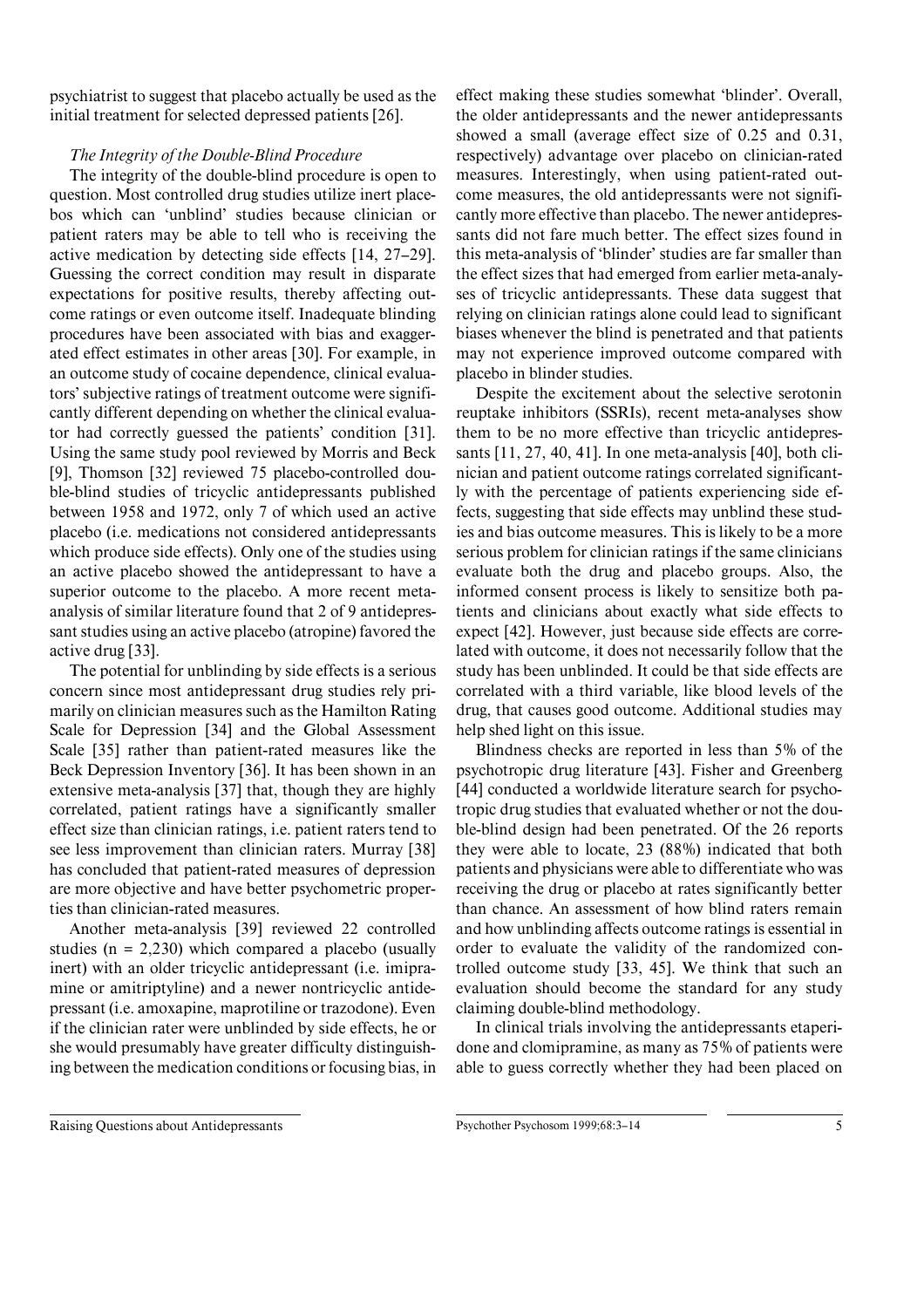psychiatrist to suggest that placebo actually be used as the initial treatment for selected depressed patients [26].

## *The Integrity of the Double-Blind Procedure*

The integrity of the double-blind procedure is open to question. Most controlled drug studies utilize inert placebos which can 'unblind' studies because clinician or patient raters may be able to tell who is receiving the active medication by detecting side effects [14, 27–29]. Guessing the correct condition may result in disparate expectations for positive results, thereby affecting outcome ratings or even outcome itself. Inadequate blinding procedures have been associated with bias and exaggerated effect estimates in other areas [30]. For example, in an outcome study of cocaine dependence, clinical evaluators' subjective ratings of treatment outcome were significantly different depending on whether the clinical evaluator had correctly guessed the patients' condition [31]. Using the same study pool reviewed by Morris and Beck [9], Thomson [32] reviewed 75 placebo-controlled double-blind studies of tricyclic antidepressants published between 1958 and 1972, only 7 of which used an active placebo (i.e. medications not considered antidepressants which produce side effects). Only one of the studies using an active placebo showed the antidepressant to have a superior outcome to the placebo. A more recent metaanalysis of similar literature found that 2 of 9 antidepressant studies using an active placebo (atropine) favored the active drug [33].

The potential for unblinding by side effects is a serious concern since most antidepressant drug studies rely primarily on clinician measures such as the Hamilton Rating Scale for Depression [34] and the Global Assessment Scale [35] rather than patient-rated measures like the Beck Depression Inventory [36]. It has been shown in an extensive meta-analysis [37] that, though they are highly correlated, patient ratings have a significantly smaller effect size than clinician ratings, i.e. patient raters tend to see less improvement than clinician raters. Murray [38] has concluded that patient-rated measures of depression are more objective and have better psychometric properties than clinician-rated measures.

Another meta-analysis [39] reviewed 22 controlled studies ( $n = 2,230$ ) which compared a placebo (usually inert) with an older tricyclic antidepressant (i.e. imipramine or amitriptyline) and a newer nontricyclic antidepressant (i.e. amoxapine, maprotiline or trazodone). Even if the clinician rater were unblinded by side effects, he or she would presumably have greater difficulty distinguishing between the medication conditions or focusing bias, in effect making these studies somewhat 'blinder'. Overall, the older antidepressants and the newer antidepressants showed a small (average effect size of 0.25 and 0.31, respectively) advantage over placebo on clinician-rated measures. Interestingly, when using patient-rated outcome measures, the old antidepressants were not significantly more effective than placebo. The newer antidepressants did not fare much better. The effect sizes found in this meta-analysis of 'blinder' studies are far smaller than the effect sizes that had emerged from earlier meta-analyses of tricyclic antidepressants. These data suggest that relying on clinician ratings alone could lead to significant biases whenever the blind is penetrated and that patients may not experience improved outcome compared with placebo in blinder studies.

Despite the excitement about the selective serotonin reuptake inhibitors (SSRIs), recent meta-analyses show them to be no more effective than tricyclic antidepressants [11, 27, 40, 41]. In one meta-analysis [40], both clinician and patient outcome ratings correlated significantly with the percentage of patients experiencing side effects, suggesting that side effects may unblind these studies and bias outcome measures. This is likely to be a more serious problem for clinician ratings if the same clinicians evaluate both the drug and placebo groups. Also, the informed consent process is likely to sensitize both patients and clinicians about exactly what side effects to expect [42]. However, just because side effects are correlated with outcome, it does not necessarily follow that the study has been unblinded. It could be that side effects are correlated with a third variable, like blood levels of the drug, that causes good outcome. Additional studies may help shed light on this issue.

Blindness checks are reported in less than 5% of the psychotropic drug literature [43]. Fisher and Greenberg [44] conducted a worldwide literature search for psychotropic drug studies that evaluated whether or not the double-blind design had been penetrated. Of the 26 reports they were able to locate, 23 (88%) indicated that both patients and physicians were able to differentiate who was receiving the drug or placebo at rates significantly better than chance. An assessment of how blind raters remain and how unblinding affects outcome ratings is essential in order to evaluate the validity of the randomized controlled outcome study [33, 45]. We think that such an evaluation should become the standard for any study claiming double-blind methodology.

In clinical trials involving the antidepressants etaperidone and clomipramine, as many as 75% of patients were able to guess correctly whether they had been placed on

Raising Questions about Antidepressants Fsychother Psychother Psychosom 1999;68:3–14 5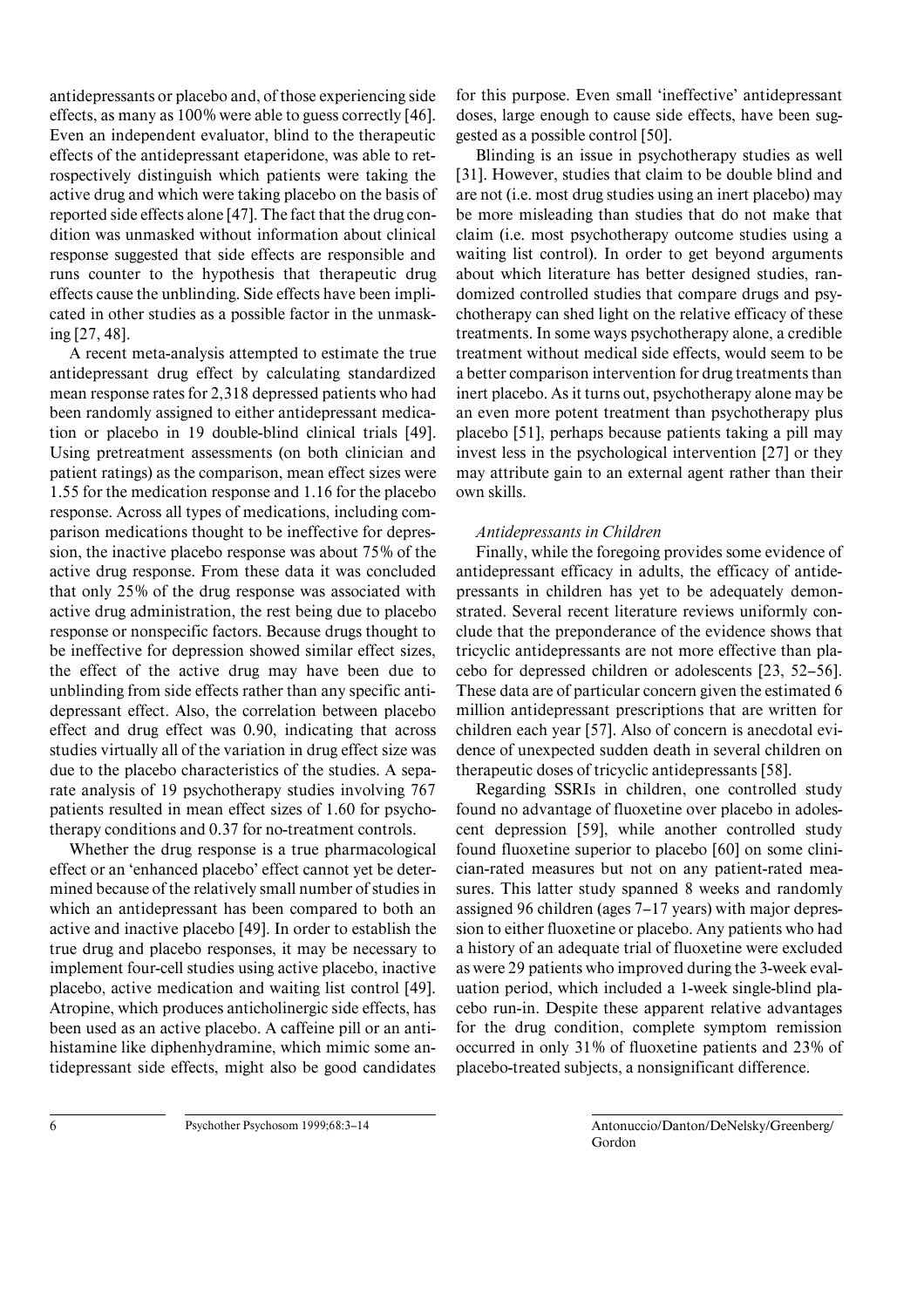antidepressants or placebo and, of those experiencing side effects, as many as 100% were able to guess correctly [46]. Even an independent evaluator, blind to the therapeutic effects of the antidepressant etaperidone, was able to retrospectively distinguish which patients were taking the active drug and which were taking placebo on the basis of reported side effects alone [47]. The fact that the drug condition was unmasked without information about clinical response suggested that side effects are responsible and runs counter to the hypothesis that therapeutic drug effects cause the unblinding. Side effects have been implicated in other studies as a possible factor in the unmasking [27, 48].

A recent meta-analysis attempted to estimate the true antidepressant drug effect by calculating standardized mean response rates for 2,318 depressed patients who had been randomly assigned to either antidepressant medication or placebo in 19 double-blind clinical trials [49]. Using pretreatment assessments (on both clinician and patient ratings) as the comparison, mean effect sizes were 1.55 for the medication response and 1.16 for the placebo response. Across all types of medications, including comparison medications thought to be ineffective for depression, the inactive placebo response was about 75% of the active drug response. From these data it was concluded that only 25% of the drug response was associated with active drug administration, the rest being due to placebo response or nonspecific factors. Because drugs thought to be ineffective for depression showed similar effect sizes, the effect of the active drug may have been due to unblinding from side effects rather than any specific antidepressant effect. Also, the correlation between placebo effect and drug effect was 0.90, indicating that across studies virtually all of the variation in drug effect size was due to the placebo characteristics of the studies. A separate analysis of 19 psychotherapy studies involving 767 patients resulted in mean effect sizes of 1.60 for psychotherapy conditions and 0.37 for no-treatment controls.

Whether the drug response is a true pharmacological effect or an 'enhanced placebo' effect cannot yet be determined because of the relatively small number of studies in which an antidepressant has been compared to both an active and inactive placebo [49]. In order to establish the true drug and placebo responses, it may be necessary to implement four-cell studies using active placebo, inactive placebo, active medication and waiting list control [49]. Atropine, which produces anticholinergic side effects, has been used as an active placebo. A caffeine pill or an antihistamine like diphenhydramine, which mimic some antidepressant side effects, might also be good candidates for this purpose. Even small 'ineffective' antidepressant doses, large enough to cause side effects, have been suggested as a possible control [50].

Blinding is an issue in psychotherapy studies as well [31]. However, studies that claim to be double blind and are not (i.e. most drug studies using an inert placebo) may be more misleading than studies that do not make that claim (i.e. most psychotherapy outcome studies using a waiting list control). In order to get beyond arguments about which literature has better designed studies, randomized controlled studies that compare drugs and psychotherapy can shed light on the relative efficacy of these treatments. In some ways psychotherapy alone, a credible treatment without medical side effects, would seem to be a better comparison intervention for drug treatments than inert placebo. As it turns out, psychotherapy alone may be an even more potent treatment than psychotherapy plus placebo [51], perhaps because patients taking a pill may invest less in the psychological intervention [27] or they may attribute gain to an external agent rather than their own skills.

#### *Antidepressants in Children*

Finally, while the foregoing provides some evidence of antidepressant efficacy in adults, the efficacy of antidepressants in children has yet to be adequately demonstrated. Several recent literature reviews uniformly conclude that the preponderance of the evidence shows that tricyclic antidepressants are not more effective than placebo for depressed children or adolescents [23, 52–56]. These data are of particular concern given the estimated 6 million antidepressant prescriptions that are written for children each year [57]. Also of concern is anecdotal evidence of unexpected sudden death in several children on therapeutic doses of tricyclic antidepressants [58].

Regarding SSRIs in children, one controlled study found no advantage of fluoxetine over placebo in adolescent depression [59], while another controlled study found fluoxetine superior to placebo [60] on some clinician-rated measures but not on any patient-rated measures. This latter study spanned 8 weeks and randomly assigned 96 children (ages 7–17 years) with major depression to either fluoxetine or placebo. Any patients who had a history of an adequate trial of fluoxetine were excluded as were 29 patients who improved during the 3-week evaluation period, which included a 1-week single-blind placebo run-in. Despite these apparent relative advantages for the drug condition, complete symptom remission occurred in only 31% of fluoxetine patients and 23% of placebo-treated subjects, a nonsignificant difference.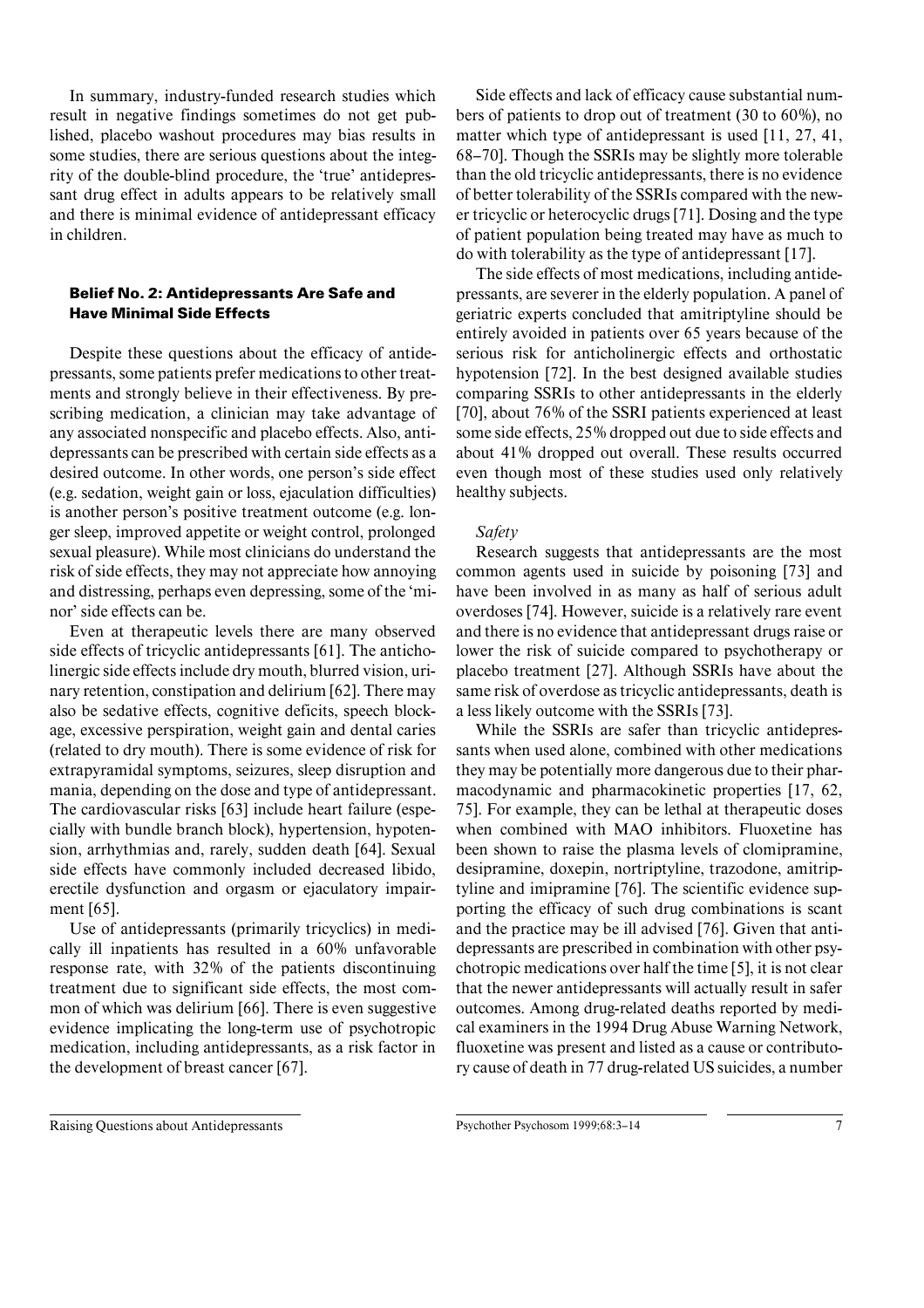In summary, industry-funded research studies which result in negative findings sometimes do not get published, placebo washout procedures may bias results in some studies, there are serious questions about the integrity of the double-blind procedure, the 'true' antidepressant drug effect in adults appears to be relatively small and there is minimal evidence of antidepressant efficacy in children.

## **Belief No. 2: Antidepressants Are Safe and Have Minimal Side Effects**

Despite these questions about the efficacy of antidepressants, some patients prefer medications to other treatments and strongly believe in their effectiveness. By prescribing medication, a clinician may take advantage of any associated nonspecific and placebo effects. Also, antidepressants can be prescribed with certain side effects as a desired outcome. In other words, one person's side effect (e.g. sedation, weight gain or loss, ejaculation difficulties) is another person's positive treatment outcome (e.g. longer sleep, improved appetite or weight control, prolonged sexual pleasure). While most clinicians do understand the risk of side effects, they may not appreciate how annoying and distressing, perhaps even depressing, some of the 'minor' side effects can be.

Even at therapeutic levels there are many observed side effects of tricyclic antidepressants [61]. The anticholinergic side effects include dry mouth, blurred vision, urinary retention, constipation and delirium [62]. There may also be sedative effects, cognitive deficits, speech blockage, excessive perspiration, weight gain and dental caries (related to dry mouth). There is some evidence of risk for extrapyramidal symptoms, seizures, sleep disruption and mania, depending on the dose and type of antidepressant. The cardiovascular risks [63] include heart failure (especially with bundle branch block), hypertension, hypotension, arrhythmias and, rarely, sudden death [64]. Sexual side effects have commonly included decreased libido, erectile dysfunction and orgasm or ejaculatory impairment [65].

Use of antidepressants (primarily tricyclics) in medically ill inpatients has resulted in a 60% unfavorable response rate, with 32% of the patients discontinuing treatment due to significant side effects, the most common of which was delirium [66]. There is even suggestive evidence implicating the long-term use of psychotropic medication, including antidepressants, as a risk factor in the development of breast cancer [67].

Side effects and lack of efficacy cause substantial numbers of patients to drop out of treatment (30 to 60%), no matter which type of antidepressant is used [11, 27, 41, 68–70]. Though the SSRIs may be slightly more tolerable than the old tricyclic antidepressants, there is no evidence of better tolerability of the SSRIs compared with the newer tricyclic or heterocyclic drugs [71]. Dosing and the type of patient population being treated may have as much to do with tolerability as the type of antidepressant [17].

The side effects of most medications, including antidepressants, are severer in the elderly population. A panel of geriatric experts concluded that amitriptyline should be entirely avoided in patients over 65 years because of the serious risk for anticholinergic effects and orthostatic hypotension [72]. In the best designed available studies comparing SSRIs to other antidepressants in the elderly [70], about 76% of the SSRI patients experienced at least some side effects, 25% dropped out due to side effects and about 41% dropped out overall. These results occurred even though most of these studies used only relatively healthy subjects.

#### *Safety*

Research suggests that antidepressants are the most common agents used in suicide by poisoning [73] and have been involved in as many as half of serious adult overdoses [74]. However, suicide is a relatively rare event and there is no evidence that antidepressant drugs raise or lower the risk of suicide compared to psychotherapy or placebo treatment [27]. Although SSRIs have about the same risk of overdose as tricyclic antidepressants, death is a less likely outcome with the SSRIs [73].

While the SSRIs are safer than tricyclic antidepressants when used alone, combined with other medications they may be potentially more dangerous due to their pharmacodynamic and pharmacokinetic properties [17, 62, 75]. For example, they can be lethal at therapeutic doses when combined with MAO inhibitors. Fluoxetine has been shown to raise the plasma levels of clomipramine, desipramine, doxepin, nortriptyline, trazodone, amitriptyline and imipramine [76]. The scientific evidence supporting the efficacy of such drug combinations is scant and the practice may be ill advised [76]. Given that antidepressants are prescribed in combination with other psychotropic medications over half the time [5], it is not clear that the newer antidepressants will actually result in safer outcomes. Among drug-related deaths reported by medical examiners in the 1994 Drug Abuse Warning Network, fluoxetine was present and listed as a cause or contributory cause of death in 77 drug-related US suicides, a number

Raising Questions about Antidepressants Psychother Psychosom 1999;68:3–14 7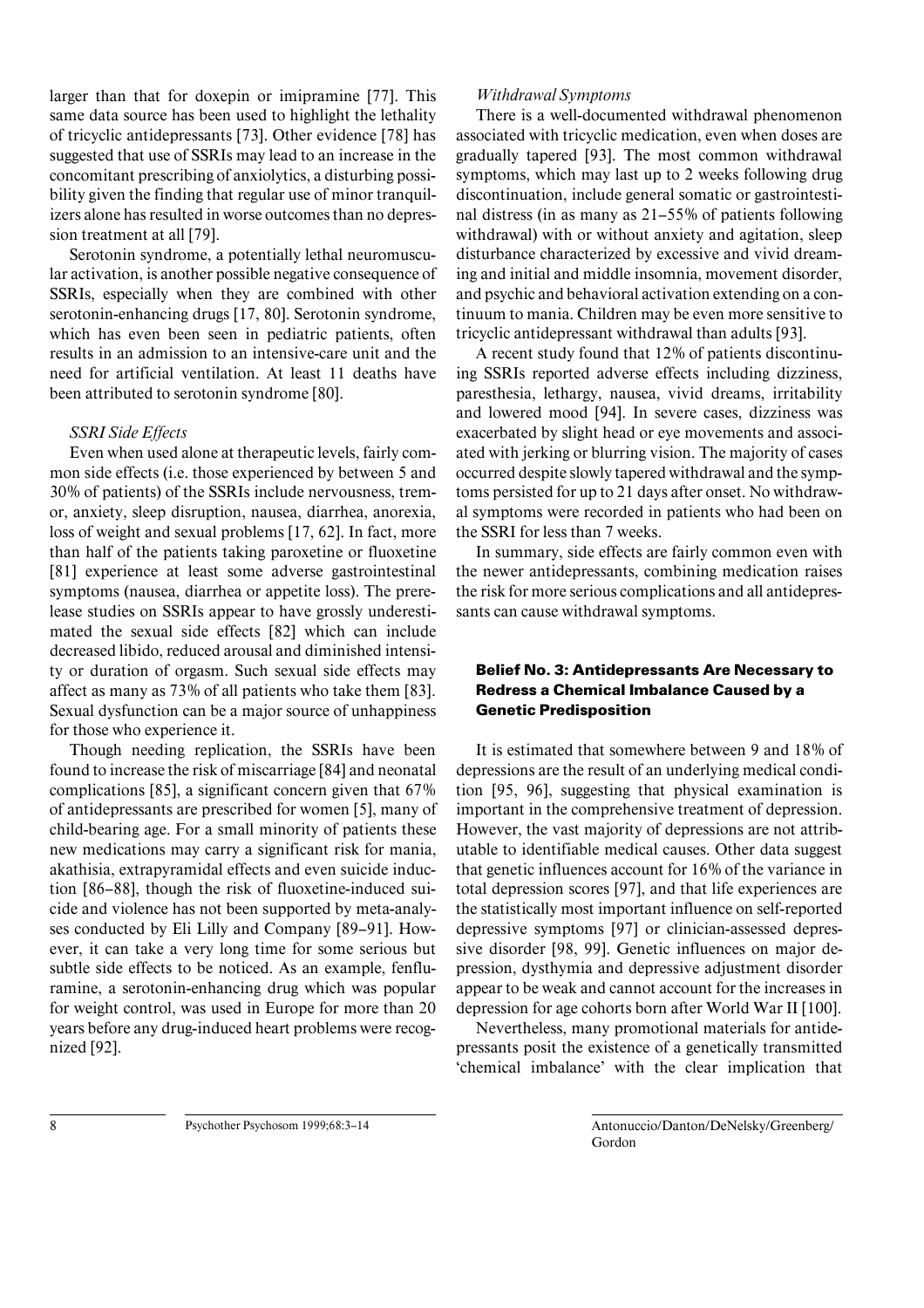larger than that for doxepin or imipramine [77]. This same data source has been used to highlight the lethality of tricyclic antidepressants [73]. Other evidence [78] has suggested that use of SSRIs may lead to an increase in the concomitant prescribing of anxiolytics, a disturbing possibility given the finding that regular use of minor tranquilizers alone has resulted in worse outcomes than no depression treatment at all [79].

Serotonin syndrome, a potentially lethal neuromuscular activation, is another possible negative consequence of SSRIs, especially when they are combined with other serotonin-enhancing drugs [17, 80]. Serotonin syndrome, which has even been seen in pediatric patients, often results in an admission to an intensive-care unit and the need for artificial ventilation. At least 11 deaths have been attributed to serotonin syndrome [80].

## *SSRI Side Effects*

Even when used alone at therapeutic levels, fairly common side effects (i.e. those experienced by between 5 and 30% of patients) of the SSRIs include nervousness, tremor, anxiety, sleep disruption, nausea, diarrhea, anorexia, loss of weight and sexual problems [17, 62]. In fact, more than half of the patients taking paroxetine or fluoxetine [81] experience at least some adverse gastrointestinal symptoms (nausea, diarrhea or appetite loss). The prerelease studies on SSRIs appear to have grossly underestimated the sexual side effects [82] which can include decreased libido, reduced arousal and diminished intensity or duration of orgasm. Such sexual side effects may affect as many as 73% of all patients who take them [83]. Sexual dysfunction can be a major source of unhappiness for those who experience it.

Though needing replication, the SSRIs have been found to increase the risk of miscarriage [84] and neonatal complications [85], a significant concern given that 67% of antidepressants are prescribed for women [5], many of child-bearing age. For a small minority of patients these new medications may carry a significant risk for mania, akathisia, extrapyramidal effects and even suicide induction [86–88], though the risk of fluoxetine-induced suicide and violence has not been supported by meta-analyses conducted by Eli Lilly and Company [89–91]. However, it can take a very long time for some serious but subtle side effects to be noticed. As an example, fenfluramine, a serotonin-enhancing drug which was popular for weight control, was used in Europe for more than 20 years before any drug-induced heart problems were recognized [92].

### *Withdrawal Symptoms*

There is a well-documented withdrawal phenomenon associated with tricyclic medication, even when doses are gradually tapered [93]. The most common withdrawal symptoms, which may last up to 2 weeks following drug discontinuation, include general somatic or gastrointestinal distress (in as many as 21–55% of patients following withdrawal) with or without anxiety and agitation, sleep disturbance characterized by excessive and vivid dreaming and initial and middle insomnia, movement disorder, and psychic and behavioral activation extending on a continuum to mania. Children may be even more sensitive to tricyclic antidepressant withdrawal than adults [93].

A recent study found that 12% of patients discontinuing SSRIs reported adverse effects including dizziness, paresthesia, lethargy, nausea, vivid dreams, irritability and lowered mood [94]. In severe cases, dizziness was exacerbated by slight head or eye movements and associated with jerking or blurring vision. The majority of cases occurred despite slowly tapered withdrawal and the symptoms persisted for up to 21 days after onset. No withdrawal symptoms were recorded in patients who had been on the SSRI for less than 7 weeks.

In summary, side effects are fairly common even with the newer antidepressants, combining medication raises the risk for more serious complications and all antidepressants can cause withdrawal symptoms.

## **Belief No. 3: Antidepressants Are Necessary to Redress a Chemical Imbalance Caused by a Genetic Predisposition**

It is estimated that somewhere between 9 and 18% of depressions are the result of an underlying medical condition [95, 96], suggesting that physical examination is important in the comprehensive treatment of depression. However, the vast majority of depressions are not attributable to identifiable medical causes. Other data suggest that genetic influences account for 16% of the variance in total depression scores [97], and that life experiences are the statistically most important influence on self-reported depressive symptoms [97] or clinician-assessed depressive disorder [98, 99]. Genetic influences on major depression, dysthymia and depressive adjustment disorder appear to be weak and cannot account for the increases in depression for age cohorts born after World War II [100].

Nevertheless, many promotional materials for antidepressants posit the existence of a genetically transmitted 'chemical imbalance' with the clear implication that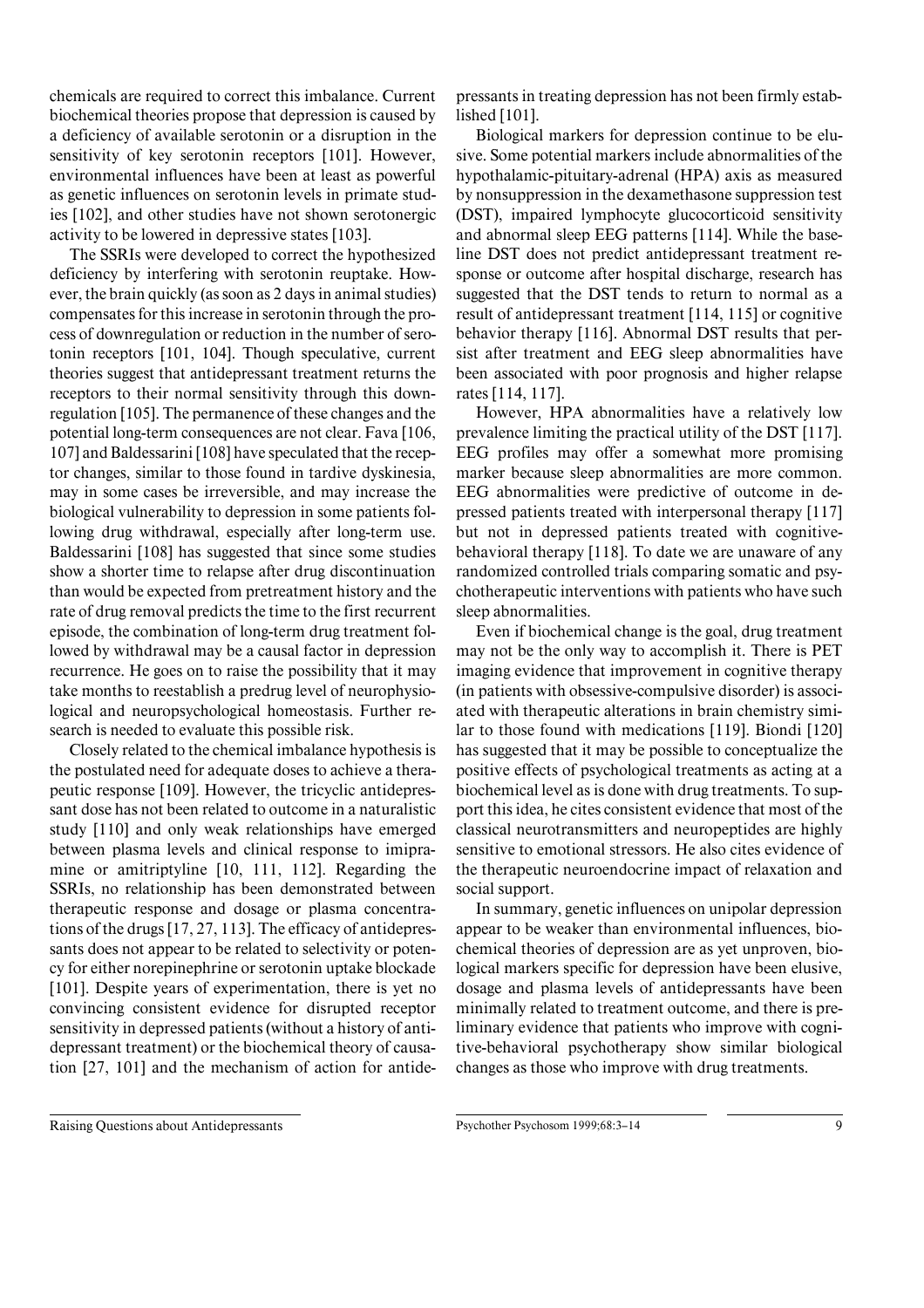chemicals are required to correct this imbalance. Current biochemical theories propose that depression is caused by a deficiency of available serotonin or a disruption in the sensitivity of key serotonin receptors [101]. However, environmental influences have been at least as powerful as genetic influences on serotonin levels in primate studies [102], and other studies have not shown serotonergic activity to be lowered in depressive states [103].

The SSRIs were developed to correct the hypothesized deficiency by interfering with serotonin reuptake. However, the brain quickly (as soon as 2 days in animal studies) compensates for this increase in serotonin through the process of downregulation or reduction in the number of serotonin receptors [101, 104]. Though speculative, current theories suggest that antidepressant treatment returns the receptors to their normal sensitivity through this downregulation [105]. The permanence of these changes and the potential long-term consequences are not clear. Fava [106, 107] and Baldessarini [108] have speculated that the receptor changes, similar to those found in tardive dyskinesia, may in some cases be irreversible, and may increase the biological vulnerability to depression in some patients following drug withdrawal, especially after long-term use. Baldessarini [108] has suggested that since some studies show a shorter time to relapse after drug discontinuation than would be expected from pretreatment history and the rate of drug removal predicts the time to the first recurrent episode, the combination of long-term drug treatment followed by withdrawal may be a causal factor in depression recurrence. He goes on to raise the possibility that it may take months to reestablish a predrug level of neurophysiological and neuropsychological homeostasis. Further research is needed to evaluate this possible risk.

Closely related to the chemical imbalance hypothesis is the postulated need for adequate doses to achieve a therapeutic response [109]. However, the tricyclic antidepressant dose has not been related to outcome in a naturalistic study [110] and only weak relationships have emerged between plasma levels and clinical response to imipramine or amitriptyline [10, 111, 112]. Regarding the SSRIs, no relationship has been demonstrated between therapeutic response and dosage or plasma concentrations of the drugs [17, 27, 113]. The efficacy of antidepressants does not appear to be related to selectivity or potency for either norepinephrine or serotonin uptake blockade [101]. Despite years of experimentation, there is yet no convincing consistent evidence for disrupted receptor sensitivity in depressed patients (without a history of antidepressant treatment) or the biochemical theory of causation [27, 101] and the mechanism of action for antide-

pressants in treating depression has not been firmly established [101].

Biological markers for depression continue to be elusive. Some potential markers include abnormalities of the hypothalamic-pituitary-adrenal (HPA) axis as measured by nonsuppression in the dexamethasone suppression test (DST), impaired lymphocyte glucocorticoid sensitivity and abnormal sleep EEG patterns [114]. While the baseline DST does not predict antidepressant treatment response or outcome after hospital discharge, research has suggested that the DST tends to return to normal as a result of antidepressant treatment [114, 115] or cognitive behavior therapy [116]. Abnormal DST results that persist after treatment and EEG sleep abnormalities have been associated with poor prognosis and higher relapse rates [114, 117].

However, HPA abnormalities have a relatively low prevalence limiting the practical utility of the DST [117]. EEG profiles may offer a somewhat more promising marker because sleep abnormalities are more common. EEG abnormalities were predictive of outcome in depressed patients treated with interpersonal therapy [117] but not in depressed patients treated with cognitivebehavioral therapy [118]. To date we are unaware of any randomized controlled trials comparing somatic and psychotherapeutic interventions with patients who have such sleep abnormalities.

Even if biochemical change is the goal, drug treatment may not be the only way to accomplish it. There is PET imaging evidence that improvement in cognitive therapy (in patients with obsessive-compulsive disorder) is associated with therapeutic alterations in brain chemistry similar to those found with medications [119]. Biondi [120] has suggested that it may be possible to conceptualize the positive effects of psychological treatments as acting at a biochemical level as is done with drug treatments. To support this idea, he cites consistent evidence that most of the classical neurotransmitters and neuropeptides are highly sensitive to emotional stressors. He also cites evidence of the therapeutic neuroendocrine impact of relaxation and social support.

In summary, genetic influences on unipolar depression appear to be weaker than environmental influences, biochemical theories of depression are as yet unproven, biological markers specific for depression have been elusive, dosage and plasma levels of antidepressants have been minimally related to treatment outcome, and there is preliminary evidence that patients who improve with cognitive-behavioral psychotherapy show similar biological changes as those who improve with drug treatments.

Raising Questions about Antidepressants Psychother Psychosom 1999;68:3–14 9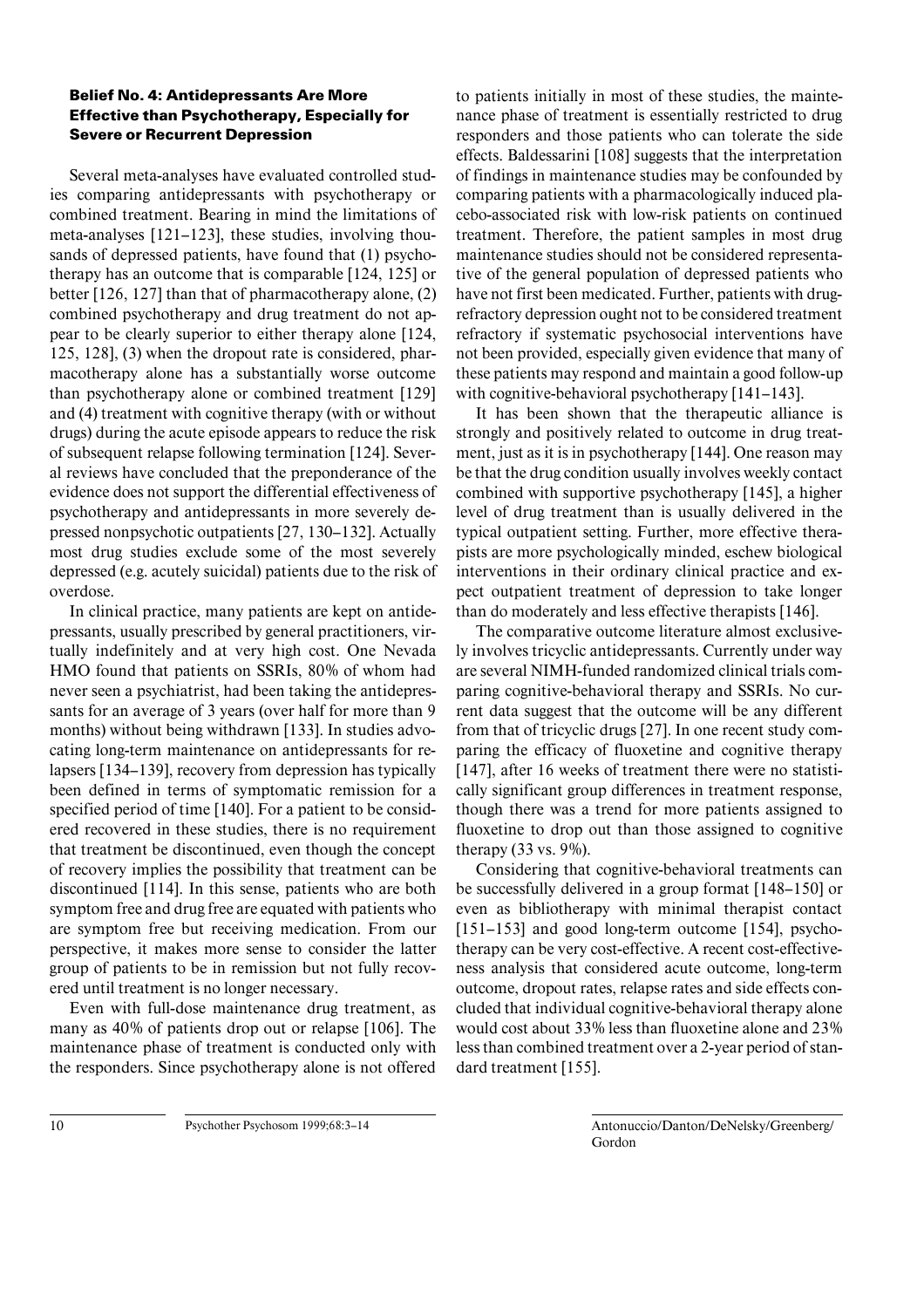## **Belief No. 4: Antidepressants Are More Effective than Psychotherapy, Especially for Severe or Recurrent Depression**

Several meta-analyses have evaluated controlled studies comparing antidepressants with psychotherapy or combined treatment. Bearing in mind the limitations of meta-analyses [121–123], these studies, involving thousands of depressed patients, have found that (1) psychotherapy has an outcome that is comparable [124, 125] or better [126, 127] than that of pharmacotherapy alone, (2) combined psychotherapy and drug treatment do not appear to be clearly superior to either therapy alone [124, 125, 128], (3) when the dropout rate is considered, pharmacotherapy alone has a substantially worse outcome than psychotherapy alone or combined treatment [129] and (4) treatment with cognitive therapy (with or without drugs) during the acute episode appears to reduce the risk of subsequent relapse following termination [124]. Several reviews have concluded that the preponderance of the evidence does not support the differential effectiveness of psychotherapy and antidepressants in more severely depressed nonpsychotic outpatients [27, 130–132]. Actually most drug studies exclude some of the most severely depressed (e.g. acutely suicidal) patients due to the risk of overdose.

In clinical practice, many patients are kept on antidepressants, usually prescribed by general practitioners, virtually indefinitely and at very high cost. One Nevada HMO found that patients on SSRIs, 80% of whom had never seen a psychiatrist, had been taking the antidepressants for an average of 3 years (over half for more than 9 months) without being withdrawn [133]. In studies advocating long-term maintenance on antidepressants for relapsers [134–139], recovery from depression has typically been defined in terms of symptomatic remission for a specified period of time [140]. For a patient to be considered recovered in these studies, there is no requirement that treatment be discontinued, even though the concept of recovery implies the possibility that treatment can be discontinued [114]. In this sense, patients who are both symptom free and drug free are equated with patients who are symptom free but receiving medication. From our perspective, it makes more sense to consider the latter group of patients to be in remission but not fully recovered until treatment is no longer necessary.

Even with full-dose maintenance drug treatment, as many as 40% of patients drop out or relapse [106]. The maintenance phase of treatment is conducted only with the responders. Since psychotherapy alone is not offered to patients initially in most of these studies, the maintenance phase of treatment is essentially restricted to drug responders and those patients who can tolerate the side effects. Baldessarini [108] suggests that the interpretation of findings in maintenance studies may be confounded by comparing patients with a pharmacologically induced placebo-associated risk with low-risk patients on continued treatment. Therefore, the patient samples in most drug maintenance studies should not be considered representative of the general population of depressed patients who have not first been medicated. Further, patients with drugrefractory depression ought not to be considered treatment refractory if systematic psychosocial interventions have not been provided, especially given evidence that many of these patients may respond and maintain a good follow-up with cognitive-behavioral psychotherapy [141–143].

It has been shown that the therapeutic alliance is strongly and positively related to outcome in drug treatment, just as it is in psychotherapy [144]. One reason may be that the drug condition usually involves weekly contact combined with supportive psychotherapy [145], a higher level of drug treatment than is usually delivered in the typical outpatient setting. Further, more effective therapists are more psychologically minded, eschew biological interventions in their ordinary clinical practice and expect outpatient treatment of depression to take longer than do moderately and less effective therapists [146].

The comparative outcome literature almost exclusively involves tricyclic antidepressants. Currently under way are several NIMH-funded randomized clinical trials comparing cognitive-behavioral therapy and SSRIs. No current data suggest that the outcome will be any different from that of tricyclic drugs [27]. In one recent study comparing the efficacy of fluoxetine and cognitive therapy [147], after 16 weeks of treatment there were no statistically significant group differences in treatment response, though there was a trend for more patients assigned to fluoxetine to drop out than those assigned to cognitive therapy (33 vs. 9%).

Considering that cognitive-behavioral treatments can be successfully delivered in a group format [148–150] or even as bibliotherapy with minimal therapist contact [151–153] and good long-term outcome [154], psychotherapy can be very cost-effective. A recent cost-effectiveness analysis that considered acute outcome, long-term outcome, dropout rates, relapse rates and side effects concluded that individual cognitive-behavioral therapy alone would cost about 33% less than fluoxetine alone and 23% less than combined treatment over a 2-year period of standard treatment [155].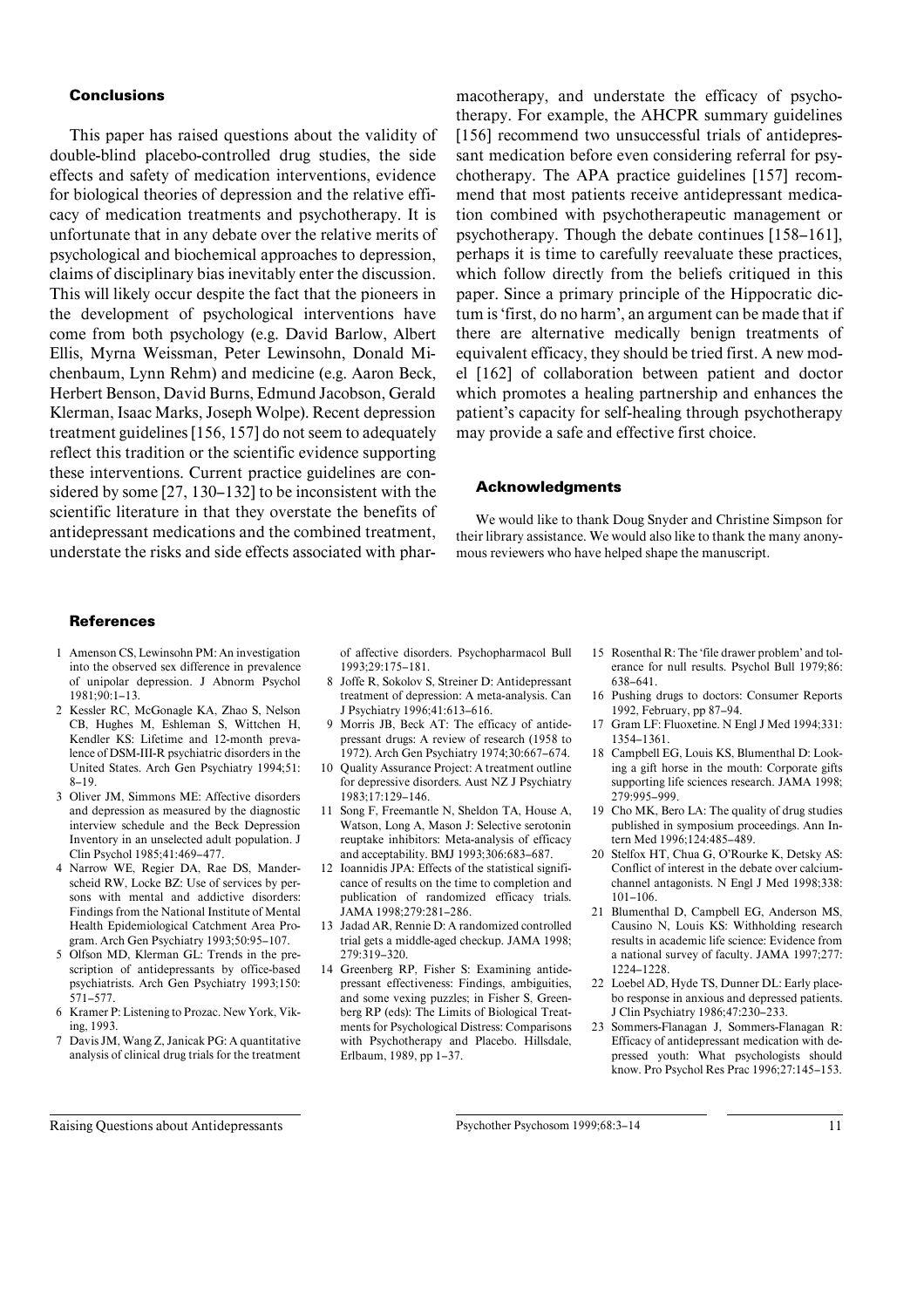#### **Conclusions**

This paper has raised questions about the validity of double-blind placebo-controlled drug studies, the side effects and safety of medication interventions, evidence for biological theories of depression and the relative efficacy of medication treatments and psychotherapy. It is unfortunate that in any debate over the relative merits of psychological and biochemical approaches to depression, claims of disciplinary bias inevitably enter the discussion. This will likely occur despite the fact that the pioneers in the development of psychological interventions have come from both psychology (e.g. David Barlow, Albert Ellis, Myrna Weissman, Peter Lewinsohn, Donald Michenbaum, Lynn Rehm) and medicine (e.g. Aaron Beck, Herbert Benson, David Burns, Edmund Jacobson, Gerald Klerman, Isaac Marks, Joseph Wolpe). Recent depression treatment guidelines [156, 157] do not seem to adequately reflect this tradition or the scientific evidence supporting these interventions. Current practice guidelines are considered by some [27, 130–132] to be inconsistent with the scientific literature in that they overstate the benefits of antidepressant medications and the combined treatment, understate the risks and side effects associated with phar-

macotherapy, and understate the efficacy of psychotherapy. For example, the AHCPR summary guidelines [156] recommend two unsuccessful trials of antidepressant medication before even considering referral for psychotherapy. The APA practice guidelines [157] recommend that most patients receive antidepressant medication combined with psychotherapeutic management or psychotherapy. Though the debate continues [158–161], perhaps it is time to carefully reevaluate these practices, which follow directly from the beliefs critiqued in this paper. Since a primary principle of the Hippocratic dictum is 'first, do no harm', an argument can be made that if there are alternative medically benign treatments of equivalent efficacy, they should be tried first. A new model [162] of collaboration between patient and doctor which promotes a healing partnership and enhances the patient's capacity for self-healing through psychotherapy may provide a safe and effective first choice.

#### **Acknowledgments**

We would like to thank Doug Snyder and Christine Simpson for their library assistance. We would also like to thank the many anonymous reviewers who have helped shape the manuscript.

#### **References**

- 1 Amenson CS, Lewinsohn PM: An investigation into the observed sex difference in prevalence of unipolar depression. J Abnorm Psychol 1981;90:1–13.
- 2 Kessler RC, McGonagle KA, Zhao S, Nelson CB, Hughes M, Eshleman S, Wittchen H, Kendler KS: Lifetime and 12-month prevalence of DSM-III-R psychiatric disorders in the United States. Arch Gen Psychiatry 1994;51: 8–19.
- 3 Oliver JM, Simmons ME: Affective disorders and depression as measured by the diagnostic interview schedule and the Beck Depression Inventory in an unselected adult population. J Clin Psychol 1985;41:469–477.
- 4 Narrow WE, Regier DA, Rae DS, Manderscheid RW, Locke BZ: Use of services by persons with mental and addictive disorders: Findings from the National Institute of Mental Health Epidemiological Catchment Area Program. Arch Gen Psychiatry 1993;50:95–107.
- 5 Olfson MD, Klerman GL: Trends in the prescription of antidepressants by office-based psychiatrists. Arch Gen Psychiatry 1993;150: 571–577.
- 6 Kramer P: Listening to Prozac. New York, Viking, 1993.
- 7 Davis JM, Wang Z, Janicak PG: A quantitative analysis of clinical drug trials for the treatment

of affective disorders. Psychopharmacol Bull 1993;29:175–181.

- 8 Joffe R, Sokolov S, Streiner D: Antidepressant treatment of depression: A meta-analysis. Can J Psychiatry 1996;41:613–616.
- 9 Morris JB, Beck AT: The efficacy of antidepressant drugs: A review of research (1958 to 1972). Arch Gen Psychiatry 1974;30:667–674.
- 10 Quality Assurance Project: A treatment outline for depressive disorders. Aust NZ J Psychiatry 1983;17:129–146.
- 11 Song F, Freemantle N, Sheldon TA, House A, Watson, Long A, Mason J: Selective serotonin reuptake inhibitors: Meta-analysis of efficacy and acceptability. BMJ 1993;306:683–687.
- 12 Ioannidis JPA: Effects of the statistical significance of results on the time to completion and publication of randomized efficacy trials. JAMA 1998;279:281–286.
- 13 Jadad AR, Rennie D: A randomized controlled trial gets a middle-aged checkup. JAMA 1998; 279:319–320.
- 14 Greenberg RP, Fisher S: Examining antidepressant effectiveness: Findings, ambiguities, and some vexing puzzles; in Fisher S, Greenberg RP (eds): The Limits of Biological Treatments for Psychological Distress: Comparisons with Psychotherapy and Placebo. Hillsdale, Erlbaum, 1989, pp 1–37.
- 15 Rosenthal R: The 'file drawer problem' and tolerance for null results. Psychol Bull 1979;86: 638–641.
- 16 Pushing drugs to doctors: Consumer Reports 1992, February, pp 87–94.
- 17 Gram LF: Fluoxetine. N Engl J Med 1994;331: 1354–1361.
- 18 Campbell EG, Louis KS, Blumenthal D: Looking a gift horse in the mouth: Corporate gifts supporting life sciences research. JAMA 1998; 279:995–999.
- 19 Cho MK, Bero LA: The quality of drug studies published in symposium proceedings. Ann Intern Med 1996;124:485–489.
- 20 Stelfox HT, Chua G, O'Rourke K, Detsky AS: Conflict of interest in the debate over calciumchannel antagonists. N Engl J Med 1998;338: 101–106.
- 21 Blumenthal D, Campbell EG, Anderson MS, Causino N, Louis KS: Withholding research results in academic life science: Evidence from a national survey of faculty. JAMA 1997;277: 1224–1228.
- 22 Loebel AD, Hyde TS, Dunner DL: Early placebo response in anxious and depressed patients. J Clin Psychiatry 1986;47:230–233.
- 23 Sommers-Flanagan J, Sommers-Flanagan R: Efficacy of antidepressant medication with depressed youth: What psychologists should know. Pro Psychol Res Prac 1996;27:145–153.

Raising Questions about Antidepressants Psychother Psychother Psychosom 1999;68:3–14 11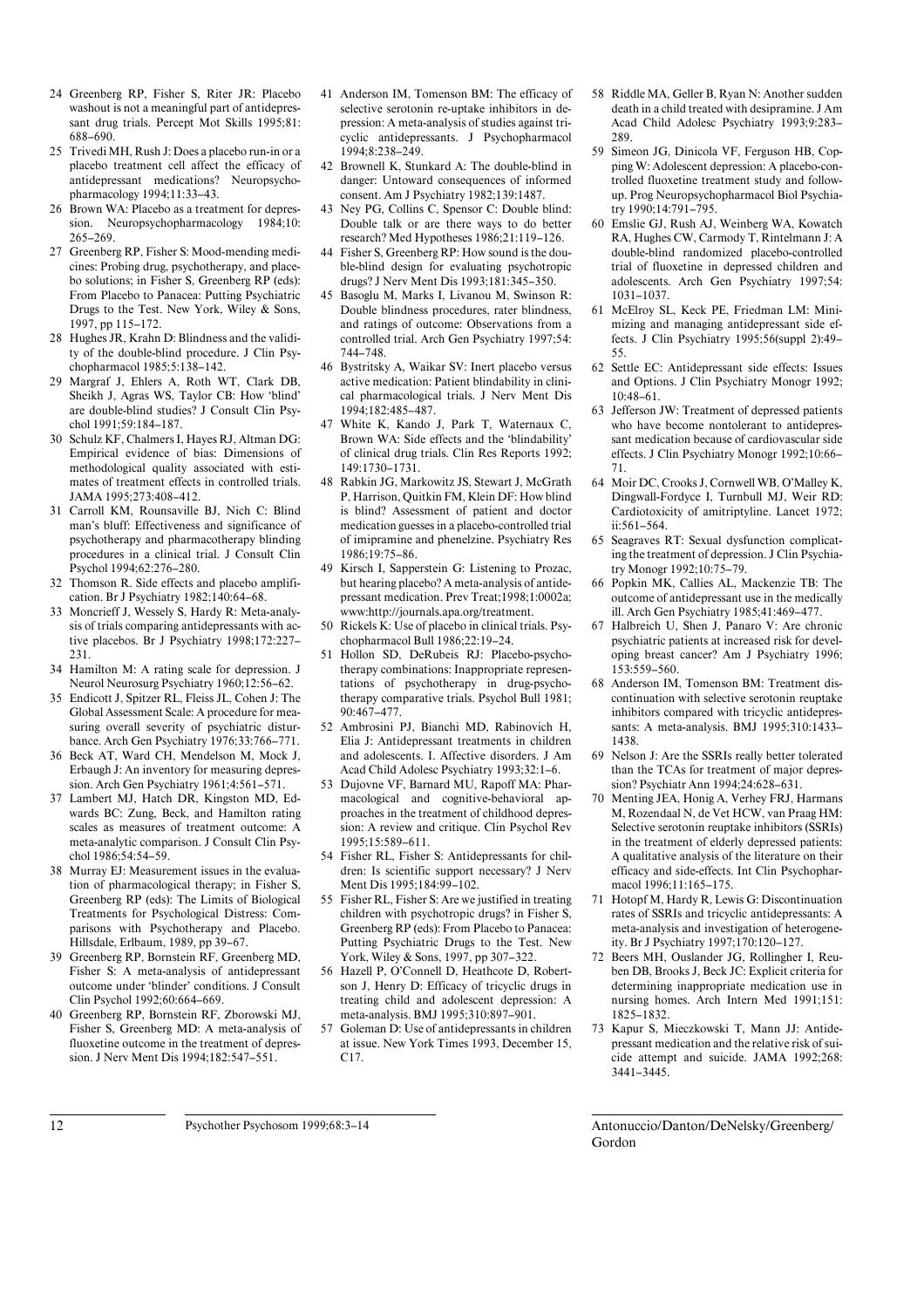- 24 Greenberg RP, Fisher S, Riter JR: Placebo washout is not a meaningful part of antidepressant drug trials. Percept Mot Skills 1995;81: 688–690.
- 25 Trivedi MH, Rush J: Does a placebo run-in or a placebo treatment cell affect the efficacy of antidepressant medications? Neuropsychopharmacology 1994;11:33–43.
- 26 Brown WA: Placebo as a treatment for depression. Neuropsychopharmacology 1984;10: 265–269.
- 27 Greenberg RP, Fisher S: Mood-mending medicines: Probing drug, psychotherapy, and placebo solutions; in Fisher S, Greenberg RP (eds): From Placebo to Panacea: Putting Psychiatric Drugs to the Test. New York, Wiley & Sons, 1997, pp 115–172.
- 28 Hughes JR, Krahn D: Blindness and the validity of the double-blind procedure. J Clin Psychopharmacol 1985;5:138–142.
- 29 Margraf J, Ehlers A, Roth WT, Clark DB, Sheikh J, Agras WS, Taylor CB: How 'blind' are double-blind studies? J Consult Clin Psychol 1991;59:184–187.
- 30 Schulz KF, Chalmers I, Hayes RJ, Altman DG: Empirical evidence of bias: Dimensions of methodological quality associated with estimates of treatment effects in controlled trials. JAMA 1995;273:408–412.
- 31 Carroll KM, Rounsaville BJ, Nich C: Blind man's bluff: Effectiveness and significance of psychotherapy and pharmacotherapy blinding procedures in a clinical trial. J Consult Clin Psychol 1994;62:276–280.
- 32 Thomson R. Side effects and placebo amplification. Br J Psychiatry 1982;140:64–68.
- 33 Moncrieff J, Wessely S, Hardy R: Meta-analysis of trials comparing antidepressants with active placebos. Br J Psychiatry 1998;172:227– 231.
- 34 Hamilton M: A rating scale for depression. J Neurol Neurosurg Psychiatry 1960;12:56–62.
- 35 Endicott J, Spitzer RL, Fleiss JL, Cohen J: The Global Assessment Scale: A procedure for measuring overall severity of psychiatric disturbance. Arch Gen Psychiatry 1976;33:766–771.
- 36 Beck AT, Ward CH, Mendelson M, Mock J, Erbaugh J: An inventory for measuring depression. Arch Gen Psychiatry 1961;4:561–571.
- 37 Lambert MJ, Hatch DR, Kingston MD, Edwards BC: Zung, Beck, and Hamilton rating scales as measures of treatment outcome: A meta-analytic comparison. J Consult Clin Psychol 1986;54:54–59.
- 38 Murray EJ: Measurement issues in the evaluation of pharmacological therapy; in Fisher S, Greenberg RP (eds): The Limits of Biological Treatments for Psychological Distress: Comparisons with Psychotherapy and Placebo. Hillsdale, Erlbaum, 1989, pp 39–67.
- 39 Greenberg RP, Bornstein RF, Greenberg MD, Fisher S: A meta-analysis of antidepressant outcome under 'blinder' conditions. J Consult Clin Psychol 1992;60:664–669.
- 40 Greenberg RP, Bornstein RF, Zborowski MJ, Fisher S, Greenberg MD: A meta-analysis of fluoxetine outcome in the treatment of depression. J Nerv Ment Dis 1994;182:547–551.
- 41 Anderson IM, Tomenson BM: The efficacy of selective serotonin re-uptake inhibitors in depression: A meta-analysis of studies against tricyclic antidepressants. J Psychopharmacol 1994;8:238–249.
- 42 Brownell K, Stunkard A: The double-blind in danger: Untoward consequences of informed consent. Am J Psychiatry 1982;139:1487.
- 43 Ney PG, Collins C, Spensor C: Double blind: Double talk or are there ways to do better research? Med Hypotheses 1986;21:119–126.
- 44 Fisher S, Greenberg RP: How sound is the double-blind design for evaluating psychotropic drugs? J Nerv Ment Dis 1993;181:345–350.
- 45 Basoglu M, Marks I, Livanou M, Swinson R: Double blindness procedures, rater blindness, and ratings of outcome: Observations from a controlled trial. Arch Gen Psychiatry 1997;54: 744–748.
- 46 Bystritsky A, Waikar SV: Inert placebo versus active medication: Patient blindability in clinical pharmacological trials. J Nerv Ment Dis 1994;182:485–487.
- 47 White K, Kando J, Park T, Waternaux C, Brown WA: Side effects and the 'blindability' of clinical drug trials. Clin Res Reports 1992; 149:1730–1731.
- 48 Rabkin JG, Markowitz JS, Stewart J, McGrath P, Harrison, Quitkin FM, Klein DF: How blind is blind? Assessment of patient and doctor medication guesses in a placebo-controlled trial of imipramine and phenelzine. Psychiatry Res 1986;19:75–86.
- 49 Kirsch I, Sapperstein G: Listening to Prozac, but hearing placebo? A meta-analysis of antidepressant medication. Prev Treat;1998;1:0002a; www:http://journals.apa.org/treatment.
- 50 Rickels K: Use of placebo in clinical trials. Psychopharmacol Bull 1986;22:19–24.
- 51 Hollon SD, DeRubeis RJ: Placebo-psychotherapy combinations: Inappropriate representations of psychotherapy in drug-psychotherapy comparative trials. Psychol Bull 1981; 90:467–477.
- 52 Ambrosini PJ, Bianchi MD, Rabinovich H, Elia J: Antidepressant treatments in children and adolescents. I. Affective disorders. J Am Acad Child Adolesc Psychiatry 1993;32:1–6.
- 53 Dujovne VF, Barnard MU, Rapoff MA: Pharmacological and cognitive-behavioral approaches in the treatment of childhood depression: A review and critique. Clin Psychol Rev 1995;15:589–611.
- 54 Fisher RL, Fisher S: Antidepressants for children: Is scientific support necessary? J Nerv Ment Dis 1995;184:99–102.
- 55 Fisher RL, Fisher S: Are we justified in treating children with psychotropic drugs? in Fisher S, Greenberg RP (eds): From Placebo to Panacea: Putting Psychiatric Drugs to the Test. New York, Wiley & Sons, 1997, pp 307–322.
- 56 Hazell P, O'Connell D, Heathcote D, Robertson J, Henry D: Efficacy of tricyclic drugs in treating child and adolescent depression: A meta-analysis. BMJ 1995;310:897–901.
- 57 Goleman D: Use of antidepressants in children at issue. New York Times 1993, December 15, C17.
- 58 Riddle MA, Geller B, Ryan N: Another sudden death in a child treated with desipramine. J Am Acad Child Adolesc Psychiatry 1993;9:283– 289.
- 59 Simeon JG, Dinicola VF, Ferguson HB, Copping W: Adolescent depression: A placebo-controlled fluoxetine treatment study and followup. Prog Neuropsychopharmacol Biol Psychiatry 1990;14:791–795.
- 60 Emslie GJ, Rush AJ, Weinberg WA, Kowatch RA, Hughes CW, Carmody T, Rintelmann J: A double-blind randomized placebo-controlled trial of fluoxetine in depressed children and adolescents. Arch Gen Psychiatry 1997;54: 1031–1037.
- 61 McElroy SL, Keck PE, Friedman LM: Minimizing and managing antidepressant side effects. J Clin Psychiatry 1995;56(suppl 2):49– 55.
- 62 Settle EC: Antidepressant side effects: Issues and Options. J Clin Psychiatry Monogr 1992; 10:48–61.
- 63 Jefferson JW: Treatment of depressed patients who have become nontolerant to antidepressant medication because of cardiovascular side effects. J Clin Psychiatry Monogr 1992;10:66– 71.
- 64 Moir DC, Crooks J, Cornwell WB, O'Malley K, Dingwall-Fordyce I, Turnbull MJ, Weir RD: Cardiotoxicity of amitriptyline. Lancet 1972; ii:561–564.
- 65 Seagraves RT: Sexual dysfunction complicating the treatment of depression. J Clin Psychiatry Monogr 1992;10:75–79.
- 66 Popkin MK, Callies AL, Mackenzie TB: The outcome of antidepressant use in the medically ill. Arch Gen Psychiatry 1985;41:469–477.
- 67 Halbreich U, Shen J, Panaro V: Are chronic psychiatric patients at increased risk for developing breast cancer? Am J Psychiatry 1996; 153:559–560.
- 68 Anderson IM, Tomenson BM: Treatment discontinuation with selective serotonin reuptake inhibitors compared with tricyclic antidepressants: A meta-analysis. BMJ 1995;310:1433– 1438.
- 69 Nelson J: Are the SSRIs really better tolerated than the TCAs for treatment of major depression? Psychiatr Ann 1994;24:628–631.
- 70 Menting JEA, Honig A, Verhey FRJ, Harmans M, Rozendaal N, de Vet HCW, van Praag HM: Selective serotonin reuptake inhibitors (SSRIs) in the treatment of elderly depressed patients: A qualitative analysis of the literature on their efficacy and side-effects. Int Clin Psychopharmacol 1996;11:165–175.
- 71 Hotopf M, Hardy R, Lewis G: Discontinuation rates of SSRIs and tricyclic antidepressants: A meta-analysis and investigation of heterogeneity. Br J Psychiatry 1997;170:120–127.
- 72 Beers MH, Ouslander JG, Rollingher I, Reuben DB, Brooks J, Beck JC: Explicit criteria for determining inappropriate medication use in nursing homes. Arch Intern Med 1991;151: 1825–1832.
- 73 Kapur S, Mieczkowski T, Mann JJ: Antidepressant medication and the relative risk of suicide attempt and suicide. JAMA 1992;268: 3441–3445.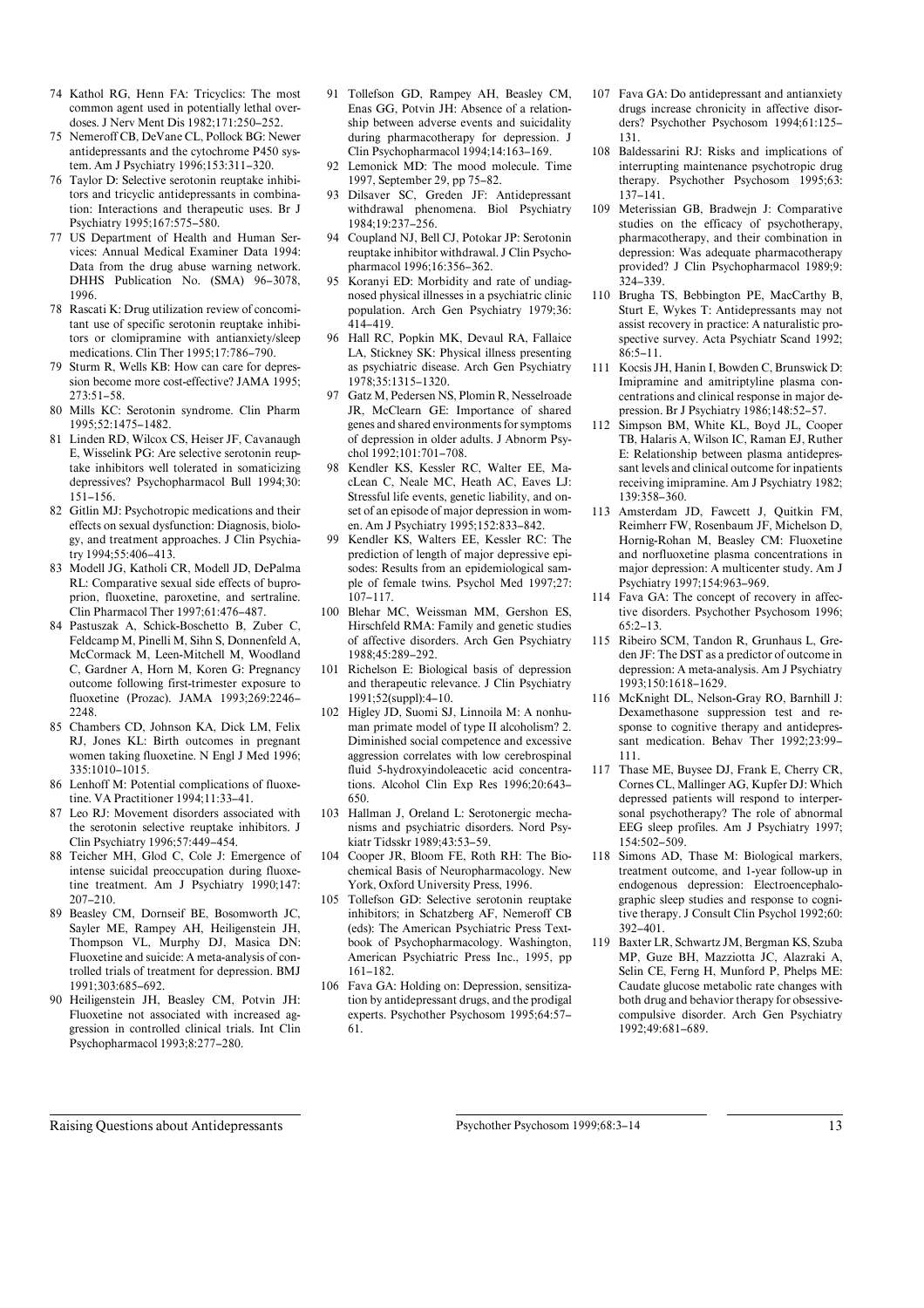- 74 Kathol RG, Henn FA: Tricyclics: The most common agent used in potentially lethal overdoses. J Nerv Ment Dis 1982;171:250–252.
- 75 Nemeroff CB, DeVane CL, Pollock BG: Newer antidepressants and the cytochrome P450 system. Am J Psychiatry 1996;153:311–320.
- 76 Taylor D: Selective serotonin reuptake inhibitors and tricyclic antidepressants in combination: Interactions and therapeutic uses. Br J Psychiatry 1995;167:575–580.
- 77 US Department of Health and Human Services: Annual Medical Examiner Data 1994: Data from the drug abuse warning network. DHHS Publication No. (SMA) 96–3078, 1996.
- 78 Rascati K: Drug utilization review of concomitant use of specific serotonin reuptake inhibitors or clomipramine with antianxiety/sleep medications. Clin Ther 1995;17:786–790.
- 79 Sturm R, Wells KB: How can care for depression become more cost-effective? JAMA 1995; 273:51–58.
- 80 Mills KC: Serotonin syndrome. Clin Pharm 1995;52:1475–1482.
- 81 Linden RD, Wilcox CS, Heiser JF, Cavanaugh E, Wisselink PG: Are selective serotonin reuptake inhibitors well tolerated in somaticizing depressives? Psychopharmacol Bull 1994;30: 151–156.
- 82 Gitlin MJ: Psychotropic medications and their effects on sexual dysfunction: Diagnosis, biology, and treatment approaches. J Clin Psychiatry 1994;55:406–413.
- 83 Modell JG, Katholi CR, Modell JD, DePalma RL: Comparative sexual side effects of buproprion, fluoxetine, paroxetine, and sertraline. Clin Pharmacol Ther 1997;61:476–487.
- 84 Pastuszak A, Schick-Boschetto B, Zuber C, Feldcamp M, Pinelli M, Sihn S, Donnenfeld A, McCormack M, Leen-Mitchell M, Woodland C, Gardner A, Horn M, Koren G: Pregnancy outcome following first-trimester exposure to fluoxetine (Prozac). JAMA 1993;269:2246– 2248
- 85 Chambers CD, Johnson KA, Dick LM, Felix RJ, Jones KL: Birth outcomes in pregnant women taking fluoxetine. N Engl J Med 1996; 335:1010–1015.
- 86 Lenhoff M: Potential complications of fluoxetine. VA Practitioner 1994;11:33–41.
- 87 Leo RJ: Movement disorders associated with the serotonin selective reuptake inhibitors. J Clin Psychiatry 1996;57:449–454.
- 88 Teicher MH, Glod C, Cole J: Emergence of intense suicidal preoccupation during fluoxetine treatment. Am J Psychiatry 1990;147: 207–210.
- 89 Beasley CM, Dornseif BE, Bosomworth JC, Sayler ME, Rampey AH, Heiligenstein JH, Thompson VL, Murphy DJ, Masica DN: Fluoxetine and suicide: A meta-analysis of controlled trials of treatment for depression. BMJ 1991;303:685–692.
- 90 Heiligenstein JH, Beasley CM, Potvin JH: Fluoxetine not associated with increased aggression in controlled clinical trials. Int Clin Psychopharmacol 1993;8:277–280.
- 91 Tollefson GD, Rampey AH, Beasley CM, Enas GG, Potvin JH: Absence of a relationship between adverse events and suicidality during pharmacotherapy for depression. J Clin Psychopharmacol 1994;14:163–169.
- 92 Lemonick MD: The mood molecule. Time 1997, September 29, pp 75–82.
- 93 Dilsaver SC, Greden JF: Antidepressant withdrawal phenomena. Biol Psychiatry 1984;19:237–256.
- 94 Coupland NJ, Bell CJ, Potokar JP: Serotonin reuptake inhibitor withdrawal. J Clin Psychopharmacol 1996;16:356–362.
- 95 Koranyi ED: Morbidity and rate of undiagnosed physical illnesses in a psychiatric clinic population. Arch Gen Psychiatry 1979;36: 414–419.
- 96 Hall RC, Popkin MK, Devaul RA, Fallaice LA, Stickney SK: Physical illness presenting as psychiatric disease. Arch Gen Psychiatry 1978;35:1315–1320.
- 97 Gatz M, Pedersen NS, Plomin R, Nesselroade JR, McClearn GE: Importance of shared genes and shared environments for symptoms of depression in older adults. J Abnorm Psychol 1992;101:701–708.
- 98 Kendler KS, Kessler RC, Walter EE, MacLean C, Neale MC, Heath AC, Eaves LJ: Stressful life events, genetic liability, and onset of an episode of major depression in women. Am J Psychiatry 1995;152:833–842.
- 99 Kendler KS, Walters EE, Kessler RC: The prediction of length of major depressive episodes: Results from an epidemiological sample of female twins. Psychol Med 1997;27: 107–117.
- 100 Blehar MC, Weissman MM, Gershon ES, Hirschfeld RMA: Family and genetic studies of affective disorders. Arch Gen Psychiatry 1988;45:289–292.
- 101 Richelson E: Biological basis of depression and therapeutic relevance. J Clin Psychiatry 1991;52(suppl):4–10.
- 102 Higley JD, Suomi SJ, Linnoila M: A nonhuman primate model of type II alcoholism? 2. Diminished social competence and excessive aggression correlates with low cerebrospinal fluid 5-hydroxyindoleacetic acid concentrations. Alcohol Clin Exp Res 1996;20:643– 650.
- 103 Hallman J, Oreland L: Serotonergic mechanisms and psychiatric disorders. Nord Psykiatr Tidsskr 1989;43:53–59.
- 104 Cooper JR, Bloom FE, Roth RH: The Biochemical Basis of Neuropharmacology. New York, Oxford University Press, 1996.
- 105 Tollefson GD: Selective serotonin reuptake inhibitors; in Schatzberg AF, Nemeroff CB (eds): The American Psychiatric Press Textbook of Psychopharmacology. Washington, American Psychiatric Press Inc., 1995, pp 161–182.
- 106 Fava GA: Holding on: Depression, sensitization by antidepressant drugs, and the prodigal experts. Psychother Psychosom 1995;64:57– 61.
- 107 Fava GA: Do antidepressant and antianxiety drugs increase chronicity in affective disorders? Psychother Psychosom 1994;61:125– 131.
- 108 Baldessarini RJ: Risks and implications of interrupting maintenance psychotropic drug therapy. Psychother Psychosom 1995;63: 137–141.
- 109 Meterissian GB, Bradwejn J: Comparative studies on the efficacy of psychotherapy, pharmacotherapy, and their combination in depression: Was adequate pharmacotherapy provided? J Clin Psychopharmacol 1989;9: 324–339.
- 110 Brugha TS, Bebbington PE, MacCarthy B, Sturt E, Wykes T: Antidepressants may not assist recovery in practice: A naturalistic prospective survey. Acta Psychiatr Scand 1992;  $86:5–11$ .
- 111 Kocsis JH, Hanin I, Bowden C, Brunswick D: Imipramine and amitriptyline plasma concentrations and clinical response in major depression. Br J Psychiatry 1986;148:52–57.
- 112 Simpson BM, White KL, Boyd JL, Cooper TB, Halaris A, Wilson IC, Raman EJ, Ruther E: Relationship between plasma antidepressant levels and clinical outcome for inpatients receiving imipramine. Am J Psychiatry 1982; 139:358–360.
- 113 Amsterdam JD, Fawcett J, Quitkin FM, Reimherr FW, Rosenbaum JF, Michelson D, Hornig-Rohan M, Beasley CM: Fluoxetine and norfluoxetine plasma concentrations in major depression: A multicenter study. Am J Psychiatry 1997;154:963–969.
- 114 Fava GA: The concept of recovery in affective disorders. Psychother Psychosom 1996;  $65.2 - 13$ .
- 115 Ribeiro SCM, Tandon R, Grunhaus L, Greden JF: The DST as a predictor of outcome in depression: A meta-analysis. Am J Psychiatry 1993;150:1618–1629.
- 116 McKnight DL, Nelson-Gray RO, Barnhill J: Dexamethasone suppression test and response to cognitive therapy and antidepressant medication. Behav Ther 1992;23:99– 111.
- 117 Thase ME, Buysee DJ, Frank E, Cherry CR, Cornes CL, Mallinger AG, Kupfer DJ: Which depressed patients will respond to interpersonal psychotherapy? The role of abnormal EEG sleep profiles. Am J Psychiatry 1997; 154:502–509.
- 118 Simons AD, Thase M: Biological markers, treatment outcome, and 1-year follow-up in endogenous depression: Electroencephalographic sleep studies and response to cognitive therapy. J Consult Clin Psychol 1992;60: 392–401.
- 119 Baxter LR, Schwartz JM, Bergman KS, Szuba MP, Guze BH, Mazziotta JC, Alazraki A, Selin CE, Ferng H, Munford P, Phelps ME: Caudate glucose metabolic rate changes with both drug and behavior therapy for obsessivecompulsive disorder. Arch Gen Psychiatry 1992;49:681–689.

Raising Questions about Antidepressants Psychother Psychosom 1999;68:3–14 13